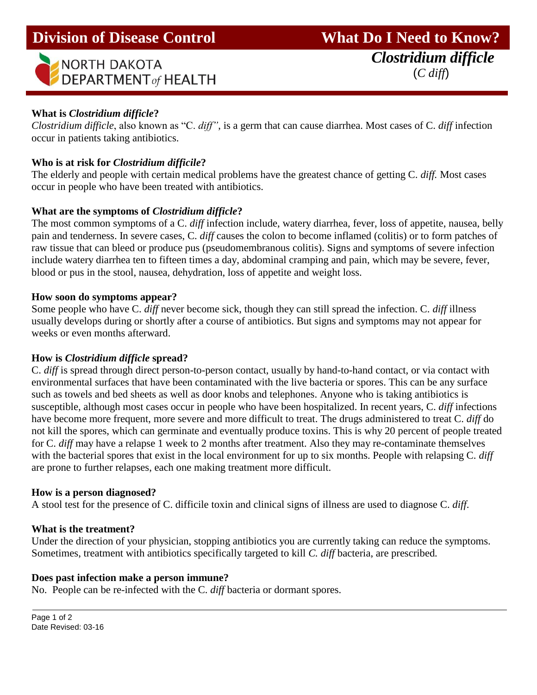

## **What is** *Clostridium difficle***?**

Ī

*Clostridium difficle*, also known as "C. *diff"*, is a germ that can cause diarrhea. Most cases of C. *diff* infection occur in patients taking antibiotics.

## **Who is at risk for** *Clostridium difficile***?**

The elderly and people with certain medical problems have the greatest chance of getting C. *diff.* Most cases occur in people who have been treated with antibiotics.

## **What are the symptoms of** *Clostridium difficle***?**

The most common symptoms of a C. *diff* infection include, watery diarrhea, fever, loss of appetite, nausea, belly pain and tenderness. In severe cases, C. *diff* causes the colon to become inflamed (colitis) or to form patches of raw tissue that can bleed or produce pus (pseudomembranous colitis). Signs and symptoms of severe infection include watery diarrhea ten to fifteen times a day, abdominal cramping and pain, which may be severe, fever, blood or pus in the stool, nausea, dehydration, loss of appetite and weight loss.

#### **How soon do symptoms appear?**

Some people who have C. *diff* never become sick, though they can still spread the infection. C. *diff* illness usually develops during or shortly after a course of antibiotics. But signs and symptoms may not appear for weeks or even months afterward.

#### **How is** *Clostridium difficle* **spread?**

C. *diff* is spread through direct person-to-person contact, usually by hand-to-hand contact, or via contact with environmental surfaces that have been contaminated with the live bacteria or spores. This can be any surface such as towels and bed sheets as well as door knobs and telephones. Anyone who is taking antibiotics is susceptible, although most cases occur in people who have been hospitalized. In recent years, C. *diff* infections have become more frequent, more severe and more difficult to treat. The drugs administered to treat C. *diff* do not kill the spores, which can germinate and eventually produce toxins. This is why 20 percent of people treated for C. *diff* may have a relapse 1 week to 2 months after treatment. Also they may re-contaminate themselves with the bacterial spores that exist in the local environment for up to six months. People with relapsing C. *diff* are prone to further relapses, each one making treatment more difficult.

#### **How is a person diagnosed?**

A stool test for the presence of C. difficile toxin and clinical signs of illness are used to diagnose C. *diff*.

#### **What is the treatment?**

Under the direction of your physician, stopping antibiotics you are currently taking can reduce the symptoms. Sometimes, treatment with antibiotics specifically targeted to kill *C. diff* bacteria, are prescribed*.* 

#### **Does past infection make a person immune?**

No. People can be re-infected with the C. *diff* bacteria or dormant spores.